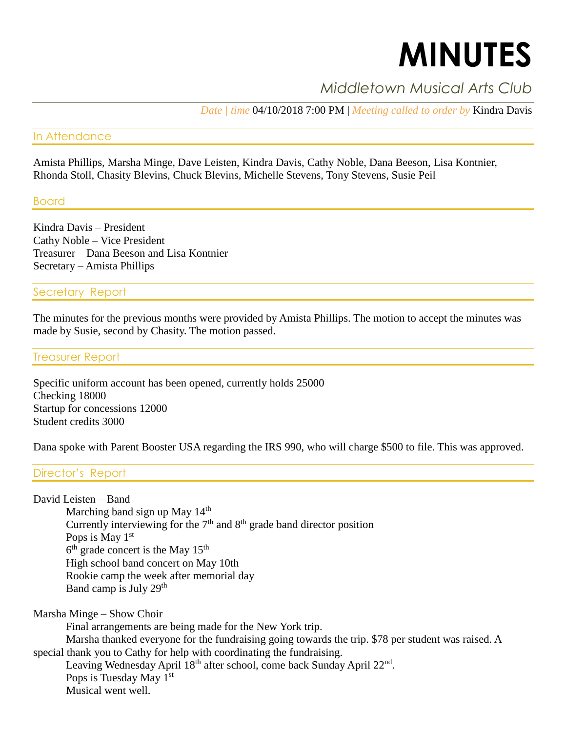# **MINUTES**

## *Middletown Musical Arts Club*

*Date | time* 04/10/2018 7:00 PM | *Meeting called to order by* Kindra Davis

#### In Attendance

Amista Phillips, Marsha Minge, Dave Leisten, Kindra Davis, Cathy Noble, Dana Beeson, Lisa Kontnier, Rhonda Stoll, Chasity Blevins, Chuck Blevins, Michelle Stevens, Tony Stevens, Susie Peil

Board

Kindra Davis – President Cathy Noble – Vice President Treasurer – Dana Beeson and Lisa Kontnier Secretary – Amista Phillips

#### Secretary Report

The minutes for the previous months were provided by Amista Phillips. The motion to accept the minutes was made by Susie, second by Chasity. The motion passed.

Treasurer Report

Specific uniform account has been opened, currently holds 25000 Checking 18000 Startup for concessions 12000 Student credits 3000

Dana spoke with Parent Booster USA regarding the IRS 990, who will charge \$500 to file. This was approved.

#### Director's Report

David Leisten – Band

Marching band sign up May  $14<sup>th</sup>$ Currently interviewing for the  $7<sup>th</sup>$  and  $8<sup>th</sup>$  grade band director position Pops is May 1<sup>st</sup>  $6<sup>th</sup>$  grade concert is the May  $15<sup>th</sup>$ High school band concert on May 10th Rookie camp the week after memorial day Band camp is July 29th

Marsha Minge – Show Choir Final arrangements are being made for the New York trip. Marsha thanked everyone for the fundraising going towards the trip. \$78 per student was raised. A special thank you to Cathy for help with coordinating the fundraising. Leaving Wednesday April 18<sup>th</sup> after school, come back Sunday April 22<sup>nd</sup>. Pops is Tuesday May  $1<sup>st</sup>$ Musical went well.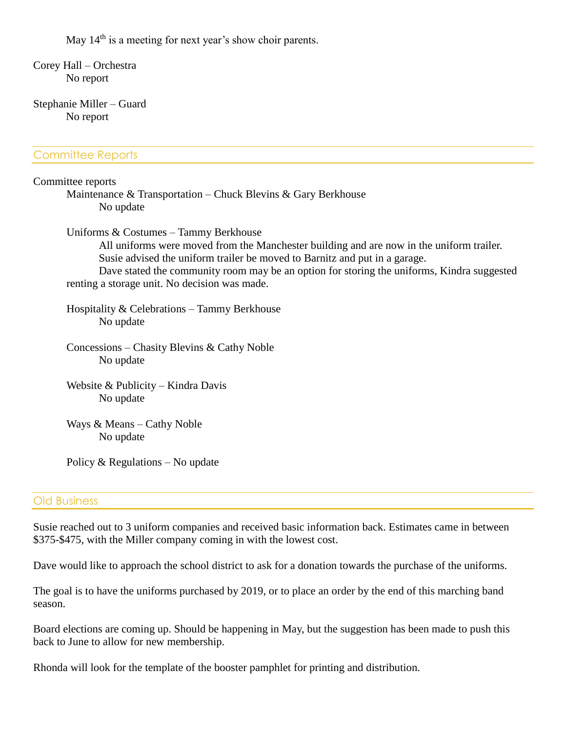May 14<sup>th</sup> is a meeting for next year's show choir parents.

Corey Hall – Orchestra No report

Stephanie Miller – Guard No report

#### Committee Reports

#### Committee reports

Maintenance & Transportation – Chuck Blevins & Gary Berkhouse No update

Uniforms & Costumes – Tammy Berkhouse All uniforms were moved from the Manchester building and are now in the uniform trailer. Susie advised the uniform trailer be moved to Barnitz and put in a garage. Dave stated the community room may be an option for storing the uniforms, Kindra suggested renting a storage unit. No decision was made.

Hospitality & Celebrations – Tammy Berkhouse No update

Concessions – Chasity Blevins & Cathy Noble No update

Website & Publicity – Kindra Davis No update

Ways & Means – Cathy Noble No update

Policy & Regulations – No update

#### Old Business

Susie reached out to 3 uniform companies and received basic information back. Estimates came in between \$375-\$475, with the Miller company coming in with the lowest cost.

Dave would like to approach the school district to ask for a donation towards the purchase of the uniforms.

The goal is to have the uniforms purchased by 2019, or to place an order by the end of this marching band season.

Board elections are coming up. Should be happening in May, but the suggestion has been made to push this back to June to allow for new membership.

Rhonda will look for the template of the booster pamphlet for printing and distribution.